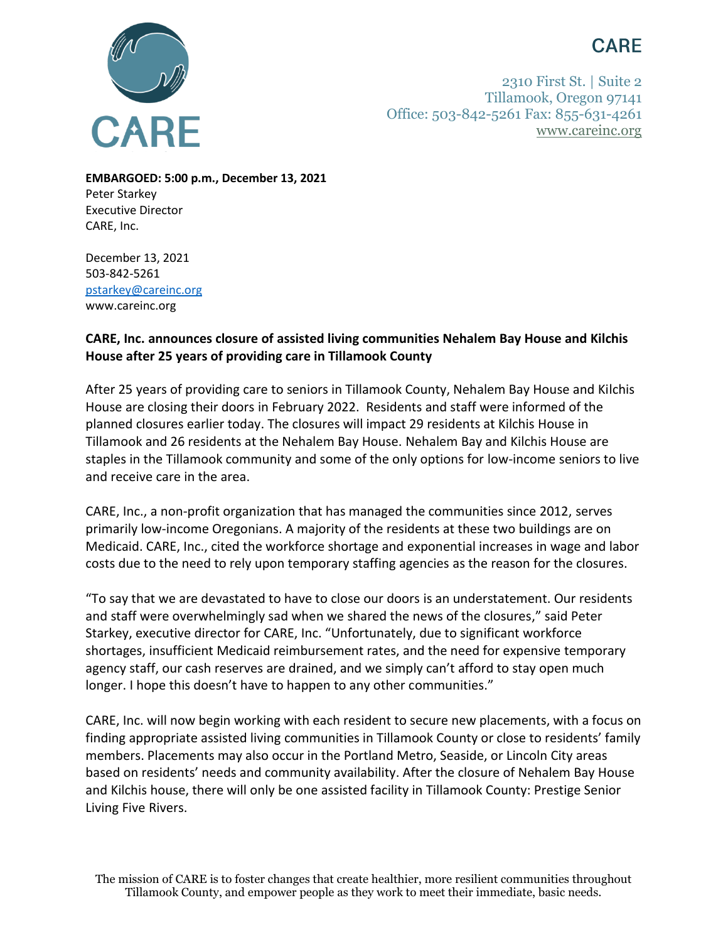## **CARE**



2310 First St. | Suite 2 Tillamook, Oregon 97141 Office: 503-842-5261 Fax: 855-631-4261 [www.careinc.org](http://www.careinc.org/)

**EMBARGOED: 5:00 p.m., December 13, 2021** Peter Starkey Executive Director CARE, Inc.

December 13, 2021 503-842-5261 [pstarkey@careinc.org](mailto:pstarkey@careinc.org) www.careinc.org

## **CARE, Inc. announces closure of assisted living communities Nehalem Bay House and Kilchis House after 25 years of providing care in Tillamook County**

After 25 years of providing care to seniors in Tillamook County, Nehalem Bay House and Kilchis House are closing their doors in February 2022. Residents and staff were informed of the planned closures earlier today. The closures will impact 29 residents at Kilchis House in Tillamook and 26 residents at the Nehalem Bay House. Nehalem Bay and Kilchis House are staples in the Tillamook community and some of the only options for low-income seniors to live and receive care in the area.

CARE, Inc., a non-profit organization that has managed the communities since 2012, serves primarily low-income Oregonians. A majority of the residents at these two buildings are on Medicaid. CARE, Inc., cited the workforce shortage and exponential increases in wage and labor costs due to the need to rely upon temporary staffing agencies as the reason for the closures.

"To say that we are devastated to have to close our doors is an understatement. Our residents and staff were overwhelmingly sad when we shared the news of the closures," said Peter Starkey, executive director for CARE, Inc. "Unfortunately, due to significant workforce shortages, insufficient Medicaid reimbursement rates, and the need for expensive temporary agency staff, our cash reserves are drained, and we simply can't afford to stay open much longer. I hope this doesn't have to happen to any other communities."

CARE, Inc. will now begin working with each resident to secure new placements, with a focus on finding appropriate assisted living communities in Tillamook County or close to residents' family members. Placements may also occur in the Portland Metro, Seaside, or Lincoln City areas based on residents' needs and community availability. After the closure of Nehalem Bay House and Kilchis house, there will only be one assisted facility in Tillamook County: Prestige Senior Living Five Rivers.

The mission of CARE is to foster changes that create healthier, more resilient communities throughout Tillamook County, and empower people as they work to meet their immediate, basic needs.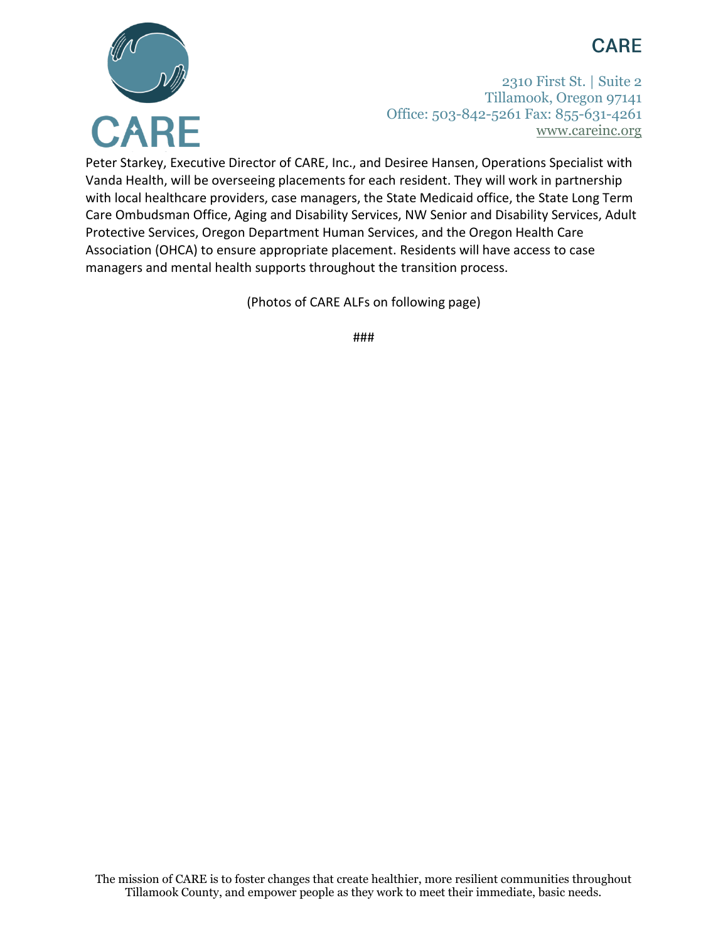## **CARE**



2310 First St. | Suite 2 Tillamook, Oregon 97141 Office: 503-842-5261 Fax: 855-631-4261 [www.careinc.org](http://www.careinc.org/)

Peter Starkey, Executive Director of CARE, Inc., and Desiree Hansen, Operations Specialist with Vanda Health, will be overseeing placements for each resident. They will work in partnership with local healthcare providers, case managers, the State Medicaid office, the State Long Term Care Ombudsman Office, Aging and Disability Services, NW Senior and Disability Services, Adult Protective Services, Oregon Department Human Services, and the Oregon Health Care Association (OHCA) to ensure appropriate placement. Residents will have access to case managers and mental health supports throughout the transition process.

(Photos of CARE ALFs on following page)

###